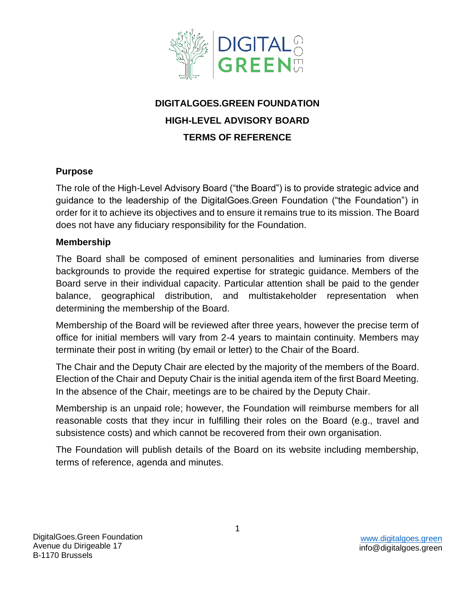

# **DIGITALGOES.GREEN FOUNDATION HIGH-LEVEL ADVISORY BOARD TERMS OF REFERENCE**

## **Purpose**

The role of the High-Level Advisory Board ("the Board") is to provide strategic advice and guidance to the leadership of the DigitalGoes.Green Foundation ("the Foundation") in order for it to achieve its objectives and to ensure it remains true to its mission. The Board does not have any fiduciary responsibility for the Foundation.

## **Membership**

The Board shall be composed of eminent personalities and luminaries from diverse backgrounds to provide the required expertise for strategic guidance. Members of the Board serve in their individual capacity. Particular attention shall be paid to the gender balance, geographical distribution, and multistakeholder representation when determining the membership of the Board.

Membership of the Board will be reviewed after three years, however the precise term of office for initial members will vary from 2-4 years to maintain continuity. Members may terminate their post in writing (by email or letter) to the Chair of the Board.

The Chair and the Deputy Chair are elected by the majority of the members of the Board. Election of the Chair and Deputy Chair is the initial agenda item of the first Board Meeting. In the absence of the Chair, meetings are to be chaired by the Deputy Chair.

Membership is an unpaid role; however, the Foundation will reimburse members for all reasonable costs that they incur in fulfilling their roles on the Board (e.g., travel and subsistence costs) and which cannot be recovered from their own organisation.

The Foundation will publish details of the Board on its website including membership, terms of reference, agenda and minutes.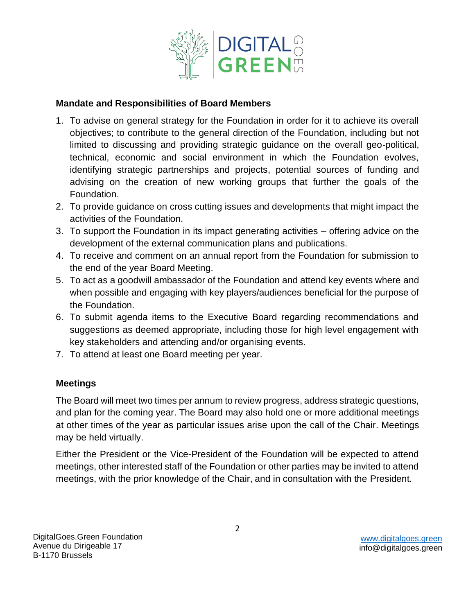

#### **Mandate and Responsibilities of Board Members**

- 1. To advise on general strategy for the Foundation in order for it to achieve its overall objectives; to contribute to the general direction of the Foundation, including but not limited to discussing and providing strategic guidance on the overall geo-political, technical, economic and social environment in which the Foundation evolves, identifying strategic partnerships and projects, potential sources of funding and advising on the creation of new working groups that further the goals of the Foundation.
- 2. To provide guidance on cross cutting issues and developments that might impact the activities of the Foundation.
- 3. To support the Foundation in its impact generating activities offering advice on the development of the external communication plans and publications.
- 4. To receive and comment on an annual report from the Foundation for submission to the end of the year Board Meeting.
- 5. To act as a goodwill ambassador of the Foundation and attend key events where and when possible and engaging with key players/audiences beneficial for the purpose of the Foundation.
- 6. To submit agenda items to the Executive Board regarding recommendations and suggestions as deemed appropriate, including those for high level engagement with key stakeholders and attending and/or organising events.
- 7. To attend at least one Board meeting per year.

## **Meetings**

The Board will meet two times per annum to review progress, address strategic questions, and plan for the coming year. The Board may also hold one or more additional meetings at other times of the year as particular issues arise upon the call of the Chair. Meetings may be held virtually.

Either the President or the Vice-President of the Foundation will be expected to attend meetings, other interested staff of the Foundation or other parties may be invited to attend meetings, with the prior knowledge of the Chair, and in consultation with the President.